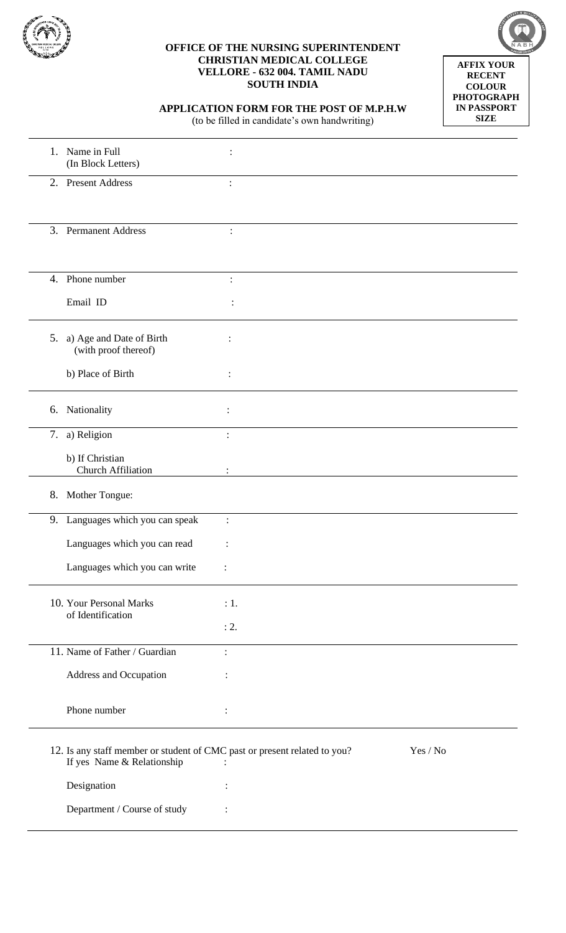

## **OFFICE OF THE NURSING SUPERINTENDENT CHRISTIAN MEDICAL COLLEGE VELLORE - 632 004. TAMIL NADU SOUTH INDIA**



**APPLICATION FORM FOR THE POST OF M.P.H.W**

(to be filled in candidate's own handwriting)

|    | 1. Name in Full<br>(In Block Letters)                                                                   |                |          |
|----|---------------------------------------------------------------------------------------------------------|----------------|----------|
|    | 2. Present Address                                                                                      | $\ddot{\cdot}$ |          |
|    | 3. Permanent Address                                                                                    | $\ddot{\cdot}$ |          |
|    | 4. Phone number                                                                                         | $\ddot{\cdot}$ |          |
|    | Email ID                                                                                                |                |          |
|    | 5. a) Age and Date of Birth<br>(with proof thereof)                                                     | $\ddot{\cdot}$ |          |
|    | b) Place of Birth                                                                                       | :              |          |
|    | 6. Nationality                                                                                          | $\ddot{\cdot}$ |          |
|    | 7. a) Religion                                                                                          |                |          |
|    | b) If Christian<br><b>Church Affiliation</b>                                                            |                |          |
| 8. | Mother Tongue:                                                                                          |                |          |
|    | 9. Languages which you can speak                                                                        | $\ddot{\cdot}$ |          |
|    | Languages which you can read                                                                            |                |          |
|    | Languages which you can write                                                                           |                |          |
|    | 10. Your Personal Marks                                                                                 | : 1.           |          |
|    | of Identification                                                                                       | : 2.           |          |
|    | 11. Name of Father / Guardian                                                                           | $\ddot{\cdot}$ |          |
|    | Address and Occupation                                                                                  |                |          |
|    | Phone number                                                                                            |                |          |
|    | 12. Is any staff member or student of CMC past or present related to you?<br>If yes Name & Relationship |                | Yes / No |
|    | Designation                                                                                             |                |          |
|    | Department / Course of study                                                                            |                |          |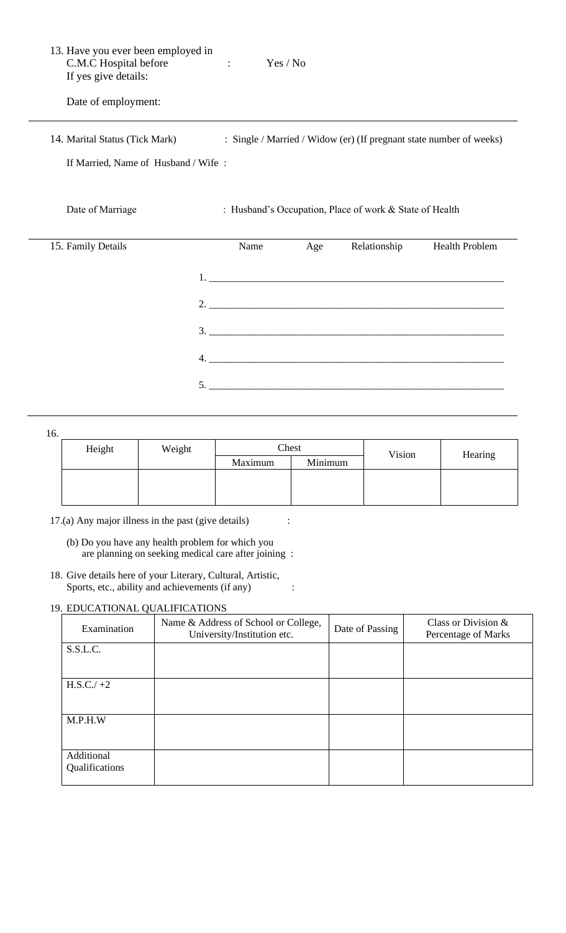| 13. Have you ever been employed in<br>C.M.C Hospital before<br>If yes give details: | $\mathcal{L}^{\text{max}}_{\text{max}}$ and $\mathcal{L}^{\text{max}}_{\text{max}}$ | Yes / No |                                                         |                                                                     |
|-------------------------------------------------------------------------------------|-------------------------------------------------------------------------------------|----------|---------------------------------------------------------|---------------------------------------------------------------------|
| Date of employment:                                                                 |                                                                                     |          |                                                         |                                                                     |
| 14. Marital Status (Tick Mark)                                                      |                                                                                     |          |                                                         | : Single / Married / Widow (er) (If pregnant state number of weeks) |
| If Married, Name of Husband / Wife:                                                 |                                                                                     |          |                                                         |                                                                     |
| Date of Marriage                                                                    |                                                                                     |          | : Husband's Occupation, Place of work & State of Health |                                                                     |
| 15. Family Details                                                                  | Name                                                                                | Age      | Relationship                                            | <b>Health Problem</b>                                               |
|                                                                                     |                                                                                     |          |                                                         |                                                                     |
|                                                                                     |                                                                                     |          |                                                         |                                                                     |
|                                                                                     |                                                                                     |          | 3.                                                      |                                                                     |
| 4.                                                                                  |                                                                                     |          |                                                         |                                                                     |

16.

| Height | Weight | Chest   |         | Vision | Hearing |
|--------|--------|---------|---------|--------|---------|
|        |        | Maximum | Minimum |        |         |
|        |        |         |         |        |         |
|        |        |         |         |        |         |
|        |        |         |         |        |         |

5. \_\_\_\_\_\_\_\_\_\_\_\_\_\_\_\_\_\_\_\_\_\_\_\_\_\_\_\_\_\_\_\_\_\_\_\_\_\_\_\_\_\_\_\_\_\_\_\_\_\_\_\_\_\_\_\_\_\_

17.(a) Any major illness in the past (give details) :

(b) Do you have any health problem for which you are planning on seeking medical care after joining :

18. Give details here of your Literary, Cultural, Artistic, Sports, etc., ability and achievements (if any) :

## 19. EDUCATIONAL QUALIFICATIONS

| Examination                  | Name & Address of School or College,<br>University/Institution etc. | Date of Passing | Class or Division $&$<br>Percentage of Marks |
|------------------------------|---------------------------------------------------------------------|-----------------|----------------------------------------------|
| S.S.L.C.                     |                                                                     |                 |                                              |
| $H.S.C./+2$                  |                                                                     |                 |                                              |
| M.P.H.W                      |                                                                     |                 |                                              |
| Additional<br>Qualifications |                                                                     |                 |                                              |